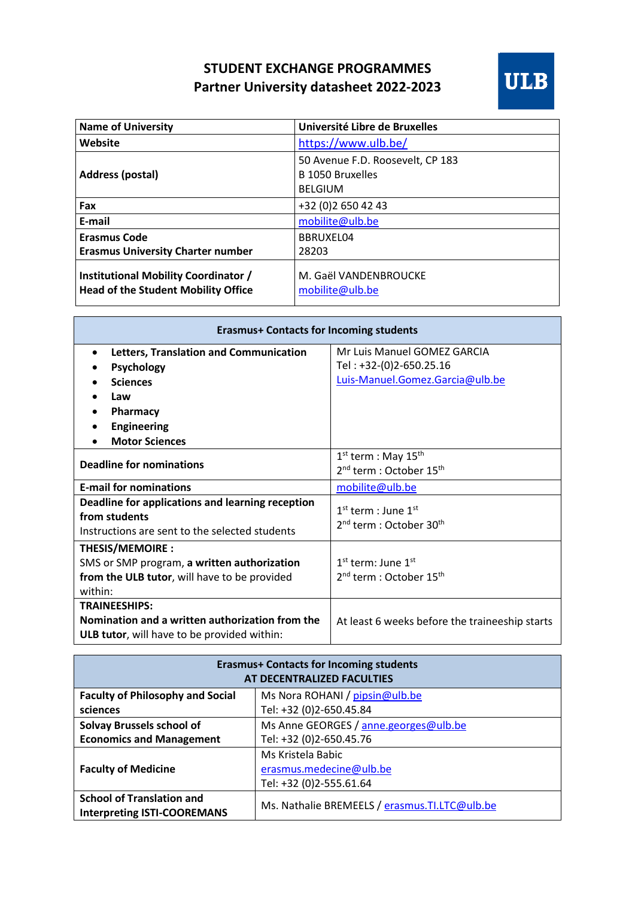## **STUDENT EXCHANGE PROGRAMMES Partner University datasheet 2022-2023**



| <b>Name of University</b>                                                          | Université Libre de Bruxelles                                          |
|------------------------------------------------------------------------------------|------------------------------------------------------------------------|
| Website                                                                            | https://www.ulb.be/                                                    |
| <b>Address (postal)</b>                                                            | 50 Avenue F.D. Roosevelt, CP 183<br>B 1050 Bruxelles<br><b>BELGIUM</b> |
| Fax                                                                                | +32 (0) 2 650 42 43                                                    |
| E-mail                                                                             | mobilite@ulb.be                                                        |
| <b>Erasmus Code</b>                                                                | BBRUXEL04                                                              |
| <b>Erasmus University Charter number</b>                                           | 28203                                                                  |
| Institutional Mobility Coordinator /<br><b>Head of the Student Mobility Office</b> | M. Gaël VANDENBROUCKE<br>mobilite@ulb.be                               |

| <b>Erasmus+ Contacts for Incoming students</b>                                                                                                                |                                                                                               |  |
|---------------------------------------------------------------------------------------------------------------------------------------------------------------|-----------------------------------------------------------------------------------------------|--|
| <b>Letters, Translation and Communication</b><br>$\bullet$<br>Psychology<br><b>Sciences</b><br>Law<br>Pharmacy<br><b>Engineering</b><br><b>Motor Sciences</b> | Mr Luis Manuel GOMEZ GARCIA<br>Tel: +32-(0)2-650.25.16<br>Luis-Manuel.Gomez.Garcia@ulb.be     |  |
| <b>Deadline for nominations</b>                                                                                                                               | $1st$ term : May $15th$<br>2 <sup>nd</sup> term : October 15 <sup>th</sup>                    |  |
| <b>E-mail for nominations</b>                                                                                                                                 | mobilite@ulb.be                                                                               |  |
| Deadline for applications and learning reception<br>from students<br>Instructions are sent to the selected students                                           | $1st$ term : June $1st$<br>2 <sup>nd</sup> term : October 30 <sup>th</sup>                    |  |
| <b>THESIS/MEMOIRE:</b><br>SMS or SMP program, a written authorization<br>from the ULB tutor, will have to be provided<br>within:                              | 1 <sup>st</sup> term: June 1 <sup>st</sup><br>2 <sup>nd</sup> term : October 15 <sup>th</sup> |  |
| <b>TRAINEESHIPS:</b><br>Nomination and a written authorization from the<br>ULB tutor, will have to be provided within:                                        | At least 6 weeks before the traineeship starts                                                |  |

| <b>Erasmus+ Contacts for Incoming students</b><br>AT DECENTRALIZED FACULTIES |                                                |  |
|------------------------------------------------------------------------------|------------------------------------------------|--|
| <b>Faculty of Philosophy and Social</b>                                      | Ms Nora ROHANI / pipsin@ulb.be                 |  |
| sciences                                                                     | Tel: +32 (0)2-650.45.84                        |  |
| <b>Solvay Brussels school of</b>                                             | Ms Anne GEORGES / anne.georges@ulb.be          |  |
| <b>Economics and Management</b>                                              | Tel: +32 (0)2-650.45.76                        |  |
| <b>Faculty of Medicine</b>                                                   | Ms Kristela Babic                              |  |
|                                                                              | erasmus.medecine@ulb.be                        |  |
|                                                                              | Tel: +32 (0)2-555.61.64                        |  |
| <b>School of Translation and</b>                                             | Ms. Nathalie BREMEELS / erasmus. TI.LTC@ulb.be |  |
| <b>Interpreting ISTI-COOREMANS</b>                                           |                                                |  |